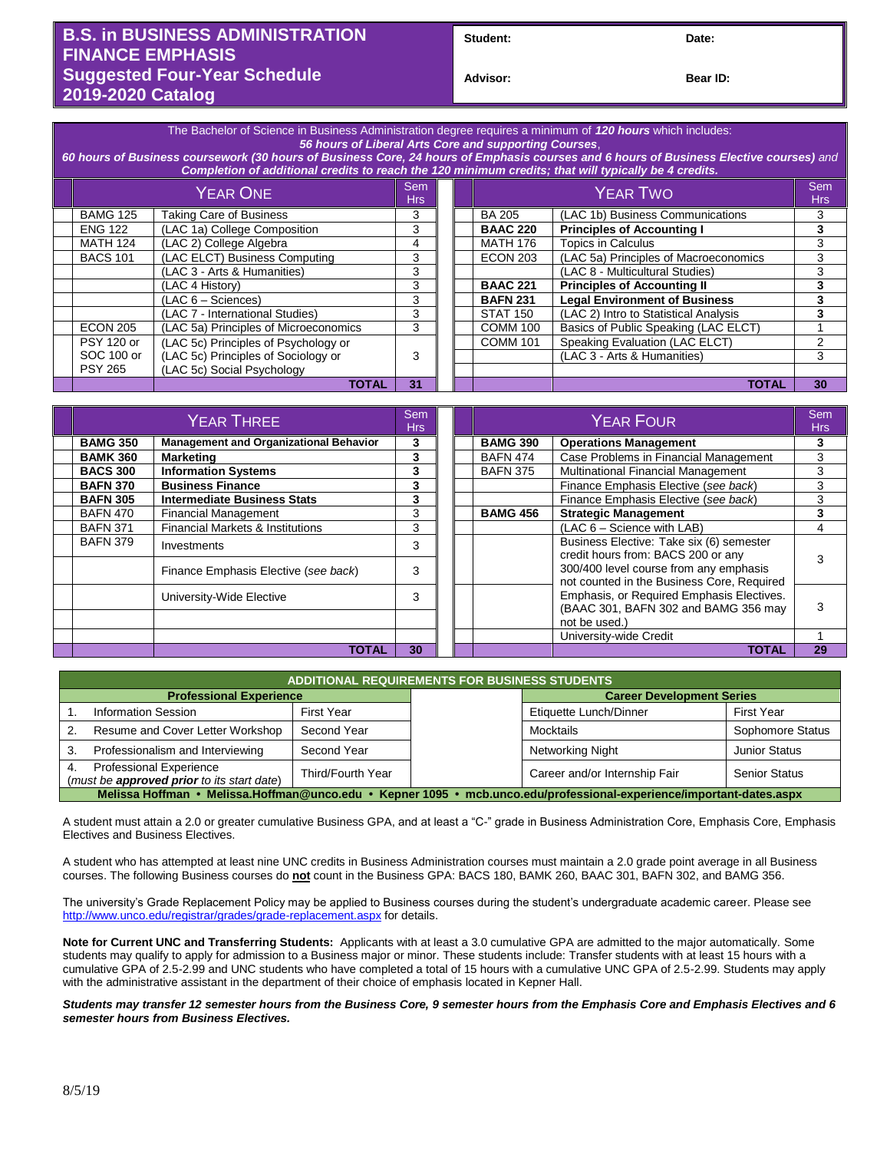## **B.S. in BUSINESS ADMINISTRATION FINANCE EMPHASIS Suggested Four-Year Schedule 2019-2020 Catalog**

Student: Date:

**Bear ID:** 

| The Bachelor of Science in Business Administration degree requires a minimum of 120 hours which includes:<br>56 hours of Liberal Arts Core and supporting Courses.<br>60 hours of Business coursework (30 hours of Business Core, 24 hours of Emphasis courses and 6 hours of Business Elective courses) and<br>Completion of additional credits to reach the 120 minimum credits; that will typically be 4 credits. |                                       |    |  |  |                                             |                                       |    |  |
|----------------------------------------------------------------------------------------------------------------------------------------------------------------------------------------------------------------------------------------------------------------------------------------------------------------------------------------------------------------------------------------------------------------------|---------------------------------------|----|--|--|---------------------------------------------|---------------------------------------|----|--|
| <b>YEAR ONE</b>                                                                                                                                                                                                                                                                                                                                                                                                      |                                       |    |  |  | <b>Sem</b><br><b>YEAR TWO</b><br><b>Hrs</b> |                                       |    |  |
| <b>BAMG 125</b>                                                                                                                                                                                                                                                                                                                                                                                                      | <b>Taking Care of Business</b>        | 3  |  |  | <b>BA 205</b>                               | (LAC 1b) Business Communications      | 3  |  |
| <b>ENG 122</b>                                                                                                                                                                                                                                                                                                                                                                                                       | (LAC 1a) College Composition          | 3  |  |  | <b>BAAC 220</b>                             | <b>Principles of Accounting I</b>     | 3  |  |
| <b>MATH 124</b>                                                                                                                                                                                                                                                                                                                                                                                                      | (LAC 2) College Algebra               | 4  |  |  | <b>MATH 176</b>                             | Topics in Calculus                    | 3  |  |
| <b>BACS 101</b>                                                                                                                                                                                                                                                                                                                                                                                                      | (LAC ELCT) Business Computing         | 3  |  |  | <b>ECON 203</b>                             | (LAC 5a) Principles of Macroeconomics | 3  |  |
|                                                                                                                                                                                                                                                                                                                                                                                                                      | (LAC 3 - Arts & Humanities)           | 3  |  |  |                                             | (LAC 8 - Multicultural Studies)       | 3  |  |
|                                                                                                                                                                                                                                                                                                                                                                                                                      | (LAC 4 History)                       | 3  |  |  | <b>BAAC 221</b>                             | <b>Principles of Accounting II</b>    | 3  |  |
|                                                                                                                                                                                                                                                                                                                                                                                                                      | $(LAC 6 - Sciences)$                  | 3  |  |  | <b>BAFN 231</b>                             | <b>Legal Environment of Business</b>  | 3  |  |
|                                                                                                                                                                                                                                                                                                                                                                                                                      | (LAC 7 - International Studies)       | 3  |  |  | <b>STAT 150</b>                             | (LAC 2) Intro to Statistical Analysis | 3  |  |
| <b>ECON 205</b>                                                                                                                                                                                                                                                                                                                                                                                                      | (LAC 5a) Principles of Microeconomics | 3  |  |  | <b>COMM 100</b>                             | Basics of Public Speaking (LAC ELCT)  |    |  |
| <b>PSY 120 or</b>                                                                                                                                                                                                                                                                                                                                                                                                    | (LAC 5c) Principles of Psychology or  |    |  |  | <b>COMM 101</b>                             | Speaking Evaluation (LAC ELCT)        | 2  |  |
| SOC 100 or                                                                                                                                                                                                                                                                                                                                                                                                           | (LAC 5c) Principles of Sociology or   | 3  |  |  |                                             | (LAC 3 - Arts & Humanities)           | 3  |  |
| <b>PSY 265</b>                                                                                                                                                                                                                                                                                                                                                                                                       | (LAC 5c) Social Psychology            |    |  |  |                                             |                                       |    |  |
|                                                                                                                                                                                                                                                                                                                                                                                                                      | TOTAL                                 | 31 |  |  |                                             | <b>TOTAL</b>                          | 30 |  |

| YEAR THREE      |                                               |    |  |                 | Sem<br><b>Hrs</b>                                                                    |    |
|-----------------|-----------------------------------------------|----|--|-----------------|--------------------------------------------------------------------------------------|----|
| <b>BAMG 350</b> | <b>Management and Organizational Behavior</b> | 3  |  | <b>BAMG 390</b> | <b>Operations Management</b>                                                         | 3  |
| <b>BAMK 360</b> | <b>Marketing</b>                              | 3  |  | <b>BAFN 474</b> | Case Problems in Financial Management                                                | 3  |
| <b>BACS 300</b> | <b>Information Systems</b>                    | 3  |  | <b>BAFN 375</b> | Multinational Financial Management                                                   | 3  |
| <b>BAFN 370</b> | <b>Business Finance</b>                       | 3  |  |                 | Finance Emphasis Elective (see back)                                                 | 3  |
| <b>BAFN 305</b> | <b>Intermediate Business Stats</b>            | 3  |  |                 | Finance Emphasis Elective (see back)                                                 | 3  |
| <b>BAFN 470</b> | <b>Financial Management</b>                   | 3  |  | <b>BAMG 456</b> | <b>Strategic Management</b>                                                          | 3  |
| <b>BAFN 371</b> | <b>Financial Markets &amp; Institutions</b>   | 3  |  |                 | $(LAC 6 - Science with LAB)$                                                         | 4  |
| <b>BAFN 379</b> | Investments                                   | 3  |  |                 | Business Elective: Take six (6) semester<br>credit hours from: BACS 200 or any       | 3  |
|                 | Finance Emphasis Elective (see back)          | 3  |  |                 | 300/400 level course from any emphasis<br>not counted in the Business Core, Required |    |
|                 | University-Wide Elective                      |    |  |                 | Emphasis, or Required Emphasis Electives.<br>(BAAC 301, BAFN 302 and BAMG 356 may    | 3  |
|                 |                                               |    |  |                 | not be used.)                                                                        |    |
|                 |                                               |    |  |                 | University-wide Credit                                                               |    |
|                 | TOTAL                                         | 30 |  |                 | <b>TOTAL</b>                                                                         | 29 |

| <b>ADDITIONAL REQUIREMENTS FOR BUSINESS STUDENTS</b>                                                                 |  |  |                                  |                      |  |  |  |  |
|----------------------------------------------------------------------------------------------------------------------|--|--|----------------------------------|----------------------|--|--|--|--|
| <b>Professional Experience</b>                                                                                       |  |  | <b>Career Development Series</b> |                      |  |  |  |  |
| <b>Information Session</b><br><b>First Year</b>                                                                      |  |  | Etiquette Lunch/Dinner           | <b>First Year</b>    |  |  |  |  |
| Resume and Cover Letter Workshop<br>Second Year                                                                      |  |  | Mocktails                        | Sophomore Status     |  |  |  |  |
| Professionalism and Interviewing<br>Second Year                                                                      |  |  | Networking Night                 | <b>Junior Status</b> |  |  |  |  |
| <b>Professional Experience</b><br>Third/Fourth Year<br>(must be <b>approved prior</b> to its start date)             |  |  | Career and/or Internship Fair    | <b>Senior Status</b> |  |  |  |  |
| Melissa Hoffman • Melissa.Hoffman@unco.edu • Kepner 1095 • mcb.unco.edu/professional-experience/important-dates.aspx |  |  |                                  |                      |  |  |  |  |

A student must attain a 2.0 or greater cumulative Business GPA, and at least a "C-" grade in Business Administration Core, Emphasis Core, Emphasis Electives and Business Electives.

A student who has attempted at least nine UNC credits in Business Administration courses must maintain a 2.0 grade point average in all Business courses. The following Business courses do **not** count in the Business GPA: BACS 180, BAMK 260, BAAC 301, BAFN 302, and BAMG 356.

The university's Grade Replacement Policy may be applied to Business courses during the student's undergraduate academic career. Please see <http://www.unco.edu/registrar/grades/grade-replacement.aspx> for details.

**Note for Current UNC and Transferring Students:** Applicants with at least a 3.0 cumulative GPA are admitted to the major automatically. Some students may qualify to apply for admission to a Business major or minor. These students include: Transfer students with at least 15 hours with a cumulative GPA of 2.5-2.99 and UNC students who have completed a total of 15 hours with a cumulative UNC GPA of 2.5-2.99. Students may apply with the administrative assistant in the department of their choice of emphasis located in Kepner Hall.

*Students may transfer 12 semester hours from the Business Core, 9 semester hours from the Emphasis Core and Emphasis Electives and 6 semester hours from Business Electives.*